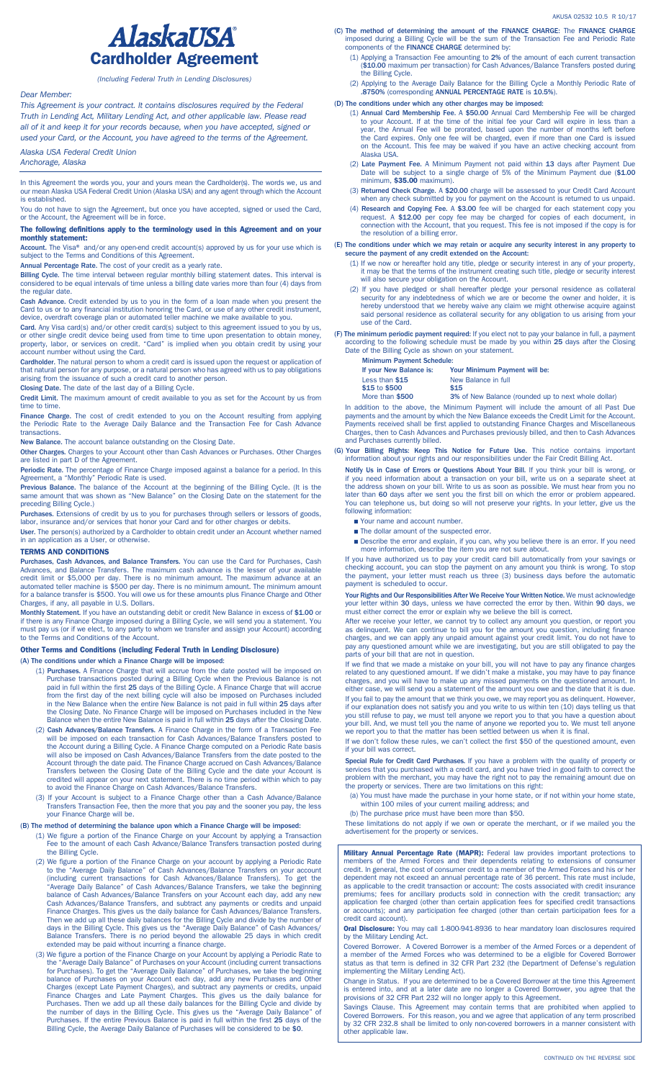

*(Including Federal Truth in Lending Disclosures)*

# *Dear Member:*

*This Agreement is your contract. It contains disclosures required by the Federal Truth in Lending Act, Military Lending Act, and other applicable law. Please read all of it and keep it for your records because, when you have accepted, signed or used your Card, or the Account, you have agreed to the terms of the Agreement.*

*Alaska USA Federal Credit Union*

*Anchorage, Alaska*

In this Agreement the words you, your and yours mean the Cardholder(s). The words we, us and our mean Alaska USA Federal Credit Union (Alaska USA) and any agent through which the Account is established.

You do not have to sign the Agreement, but once you have accepted, signed or used the Card, or the Account, the Agreement will be in force.

#### The following definitions apply to the terminology used in this Agreement and on your monthly statement:

Account. The Visa® and/or any open-end credit account(s) approved by us for your use which is subject to the Terms and Conditions of this Agreement.

Annual Percentage Rate. The cost of your credit as a yearly rate.

Billing Cycle. The time interval between regular monthly billing statement dates. This interval is considered to be equal intervals of time unless a billing date varies more than four (4) days from the regular date.

Cash Advance. Credit extended by us to you in the form of a loan made when you present the<br>Card to us or to any financial institution honoring the Card, or use of any other credit instrument,<br>device, overdraft coverage pla

Card. Any Visa card(s) and/or other credit card(s) subject to this agreement issued to you by us,<br>or other single credit device being used from time to time upon presentation to obtain money,<br>property, labor, or services o account number without using the Card.

Cardholder. The natural person to whom a credit card is issued upon the request or application of<br>that natural person for any purpose, or a natural person who has agreed with us to pay obligations<br>arising from the issuance

Closing Date. The date of the last day of a Billing Cycle.

Credit Limit. The maximum amount of credit available to you as set for the Account by us from time to time.

Finance Charge. The cost of credit extended to you on the Account resulting from applying the Periodic Rate to the Average Daily Balance and the Transaction Fee for Cash Advance transactions.

New Balance. The account balance outstanding on the Closing Date.

Other Charges. Charges to your Account other than Cash Advances or Purchases. Other Charges are listed in part D of the Agreement.

Periodic Rate. The percentage of Finance Charge imposed against a balance for a period. In this (period) retain<br>Agreement, a "Monthly" Periodic Rate is used.

Previous Balance. The balance of the Account at the beginning of the Billing Cycle. (It is the same amount that was shown as "New Balance" on the Closing Date on the statement for the preceding Billing Cycle.)

Purchases. Extensions of credit by us to you for purchases through sellers or lessors of goods,<br>labor, insurance and/or services that honor your Card and for other charges or debits.

User. The person(s) authorized by a Cardholder to obtain credit under an Account whether named in an application as a User, or otherwise.

## TERMS AND CONDITIONS

Purchases, Cash Advances, and Balance Transfers. You can use the Card for Purchases, Cash Advances, and Balance Transfers. The maximum cash advance is the lesser of your available<br>credit limit or \$5,000 per day. There is no minimum amount. The maximum advance at an<br>automated teller machine is \$500 per day. Ther Charges, if any, all payable in U.S. Dollars.

Monthly Statement. If you have an outstanding debit or credit New Balance in excess of \$1.00 or if there is any Finance Charge imposed during a Billing Cycle, we will send you a statement. You<br>must pay us (or if we elect, to any party to whom we transfer and assign your Account) according<br>to the Terms and Conditions

## Other Terms and Conditions (including Federal Truth in Lending Disclosure)

(A) The conditions under which a Finance Charge will be imposed:

- (1) Purchases. A Finance Charge that will accrue from the date posted will be imposed on Purchase transactions posted during a Billing Cycle when the Previous Balance is not<br>paid in full within the first 25 days of the Billing Cycle. A Finance Charge that will accrue<br>from the first day of the next billing cycl the Closing Date. No Finance Charge will be imposed on Purchases included in the New Balance when the entire New Balance is paid in full within 25 days after the Closing Date.
- (2) Cash Advances/Balance Transfers. A Finance Charge in the form of a Transaction Fee will be imposed on each transaction for Cash Advances/Balance Transfers posted to the Account during a Billing Cycle. A Finance Charge will also be imposed on Cash Advances/Balance Transfers from the date posted to the<br>Account through the date paid. The Finance Charge accrued on Cash Advances/Balance<br>Transfers between the Closing Date of the Billing Cycle credited will appear on your next statement. There is no time period within which to pay to avoid the Finance Charge on Cash Advances/Balance Transfers.

(3) If your Account is subject to a Finance Charge other than a Cash Advance/Balance Transfers Transaction Fee, then the more that you pay and the sooner you pay, the less your Finance Charge will be.

### (B) The method of determining the balance upon which a Finance Charge will be imposed:

(1) We figure a portion of the Finance Charge on your Account by applying a Transaction Fee to the amount of each Cash Advance/Balance Transfers transaction posted during the Billing Cycle.

(2) We figure a portion of the Finance Charge on your account by applying a Periodic Rate<br>to the "Average Daily Balance" of Cash Advances/Balance Transfers on your account<br>(including current transactions for Cash Advances/ balance of Cash Advances/Balance Transfers on your Account each day, add any new<br>Cash Advances/Balance Transfers, and subtract any payments or credits and unpaid<br>Finance Charges. This gives us the daily balance for Cash Ad extended may be paid without incurring a finance charge.

(3) We figure a portion of the Finance Charge on your Account by applying a Periodic Rate to<br>the "Average Daily Balance" of Purchases on your Account (including current transactions<br>for Purchases). To get the "Average Dail

- (C) The method of determining the amount of the FINANCE CHARGE: The FINANCE CHARGE imposed during a Billing Cycle will be the sum of the Transaction Fee and Periodic Rate components of the FINANCE CHARGE determined by:
	- (1) Applying a Transaction Fee amounting to 2% of the amount of each current transaction (\$10.00 maximum per transaction) for Cash Advances/Balance Transfers posted during the Billing Cycle.
- (2) Applying to the Average Daily Balance for the Billing Cycle a Monthly Periodic Rate of .8750% (corresponding ANNUAL PERCENTAGE RATE is 10.5%).
- (D) The conditions under which any other charges may be imposed:
	- (1) **Annual Card Membership Fee.** A \$50.00 Annual Card Membership Fee will be charged to your Account. If at the time of the initial fee your Card will expire in less than a year, the Annual Fee will be prorated, based upo Alaska USA.
	- (2) Late Payment Fee. A Minimum Payment not paid within 13 days after Payment Due<br>Date will be subject to a single charge of 5% of the Minimum Payment due (\$1.00<br>minimum, \$35.00 maximum).
	- (3) Returned Check Charge. A \$20.00 charge will be assessed to your Credit Card Account when any check submitted by you for payment on the Account is returned to us unpaid.
	- (4) Research and Copying Fee. A \$3.00 fee will be charged for each statement copy you request. A \$12.00 per copy fee may be charged for copies of each document, in connection with the Account, that you request. This fee is not imposed if the copy is for the resolution of a billing error.

#### (E) The conditions under which we may retain or acquire any security interest in any property to secure the payment of any credit extended on the Account:

- (1) If we now or hereafter hold any title, pledge or security interest in any of your property, it may be that the terms of the instrument creating such title, pledge or security interest will also secure your obligation on the Account.
- (2) If you have pledged or shall hereafter pledge your personal residence as collateral security for any indebtedness of which we are or become the owner and holder, it is hereby understood that we hereby waive any claim w use of the Card.

(F) The minimum periodic payment required: If you elect not to pay your balance in full, a payment according to the following schedule must be made by you within 25 days after the Closing Date of the Billing Cycle as shown

Minimum Payment Schedule:<br>If your New Balance is: Y Your Minimum Payment will be: Less than \$15 New Balance in full<br>\$15 to \$500 \$15 \$15 to \$500<br>More than \$500

3% of New Balance (rounded up to next whole dollar)

In addition to the above, the Minimum Payment will include the amount of all Past Due payments and the amount by which the New Balance exceeds the Credit Limit for the Account.<br>Payments received shall be first applied to outstanding Finance Charges and Miscellaneous<br>Charges, then to Cash Advances and Purcha

(G) Your Billing Rights: Keep This Notice for Future Use. This notice contains important information about your rights and our responsibilities under the Fair Credit Billing Act.

Notify Us in Case of Errors or Questions About Your Bill. If you think your bill is wrong, or if you need information about a transaction on your bill, write us on a separate sheet at<br>the address shown on your bill. Write to us as soon as possible. We must hear from you no<br>later than 60 days after we sent you the f following information:

- Your name and account number.
- The dollar amount of the suspected error.
- n Describe the error and explain, if you can, why you believe there is an error. If you need more information, describe the item you are not sure about.

If you have authorized us to pay your credit card bill automatically from your savings or<br>checking account, you can stop the payment on any amount you think is wrong. To stop<br>the payment, your letter must reach us three (3

Your Rights and Our Responsibilities After We Receive Your Written Notice. We must acknowledge your letter within 30 days, unless we have corrected the error by then. Within 90 days, we must either correct the error or explain why we believe the bill is correct.

After we receive your letter, we cannot try to collect any amount you question, or report you<br>as delinquent. We can continue to bill you for the amount you question, including finance<br>charges, and we can apply any unpaid a pay any questioned amount while we are investigating, but you are still obligated to pay the parts of your bill that are not in question.

If we find that we made a mistake on your bill, you will not have to pay any finance charges<br>related to any questioned amount. If we didn't make a mistake, you may have to pay finance<br>charges, and you will have to make up either case, we will send you a statement of the amount you owe and the date that it is due.

If you fail to pay the amount that we think you owe, we may report you as delinquent. However, if our explanation does not satisfy you and you write to us within ten (10) days telling us that<br>you still refuse to pay, we must tell anyone we report you to that you have a question about<br>your bill. And, we must tell you

If we don't follow these rules, we can't collect the first \$50 of the questioned amount, even if your bill was correct.

Special Rule for Credit Card Purchases. If you have a problem with the quality of property or services that you purchased with a credit card, and you have tried in good faith to correct the<br>problem with the merchant, you may have the right not to pay the remaining amount due on<br>the property or services. There are t

(a) You must have made the purchase in your home state, or if not within your home state, within 100 miles of your current mailing address; and

(b) The purchase price must have been more than \$50.

These limitations do not apply if we own or operate the merchant, or if we mailed you the advertisement for the property or services.

**Military Annual Percentage Rate (MAPR):** Federal law provides important protections to<br>members of the Armed Forces and their dependents relating to extensions of consumer<br>credit. In general, the cost of consumer credit to dependent may not exceed an annual percentage rate of 36 percent. This rate must include, as applicable to the credit transaction or account: The costs associated with credit insurance premiums; fees for ancillary products sold in connection with the credit transaction; any<br>application fee charged (other than certain application fees for specified credit transactions<br>or accounts); and any participation f credit card account).

Oral Disclosure: You may call 1-800-941-8936 to hear mandatory loan disclosures required by the Military Lending Act.

Covered Borrower. A Covered Borrower is a member of the Armed Forces or a dependent of a member of the Armed Forces who was determined to be a eligible for Covered Borrower status as that term is defined in 32 CFR Part 232 (the Department of Defense's regulation implementing the Military Lending Act).

Change in Status. If you are determined to be a Covered Borrower at the time this Agreement<br>is entered into, and at a later date are no longer a Covered Borrower, you agree that the<br>provisions of 32 CFR Part 232 will no lo

Savings Clause. This Agreement may contain terms that are prohibited when applied to<br>Covered Borrowers. For this reason, you and we agree that application of any term proscribed<br>by 32 CFR 232.8 shall be limited to only non other applicable law.